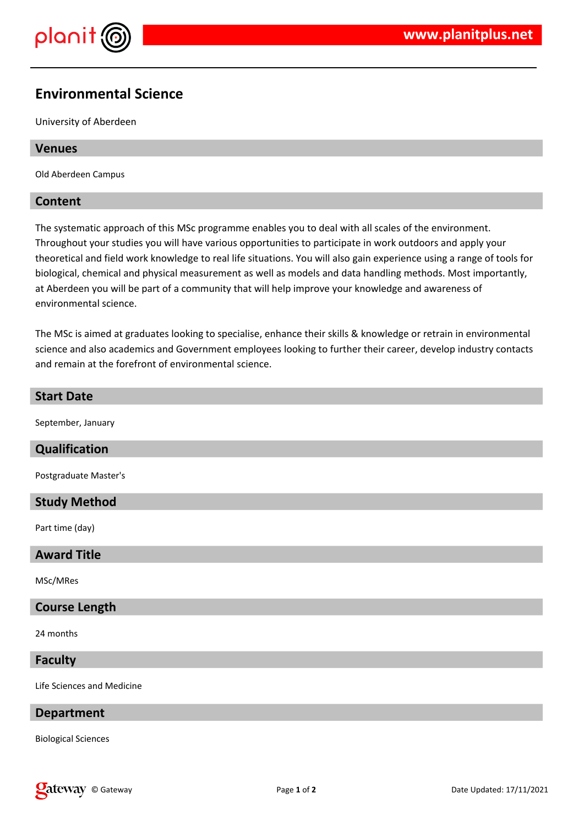

# **Environmental Science**

University of Aberdeen

#### **Venues**

Old Aberdeen Campus

# **Content**

The systematic approach of this MSc programme enables you to deal with all scales of the environment. Throughout your studies you will have various opportunities to participate in work outdoors and apply your theoretical and field work knowledge to real life situations. You will also gain experience using a range of tools for biological, chemical and physical measurement as well as models and data handling methods. Most importantly, at Aberdeen you will be part of a community that will help improve your knowledge and awareness of environmental science.

The MSc is aimed at graduates looking to specialise, enhance their skills & knowledge or retrain in environmental science and also academics and Government employees looking to further their career, develop industry contacts and remain at the forefront of environmental science.

# **Start Date**

September, January

# **Qualification**

Postgraduate Master's

# **Study Method**

Part time (day)

#### **Award Title**

MSc/MRes

#### **Course Length**

24 months

# **Faculty**

Life Sciences and Medicine

#### **Department**

Biological Sciences